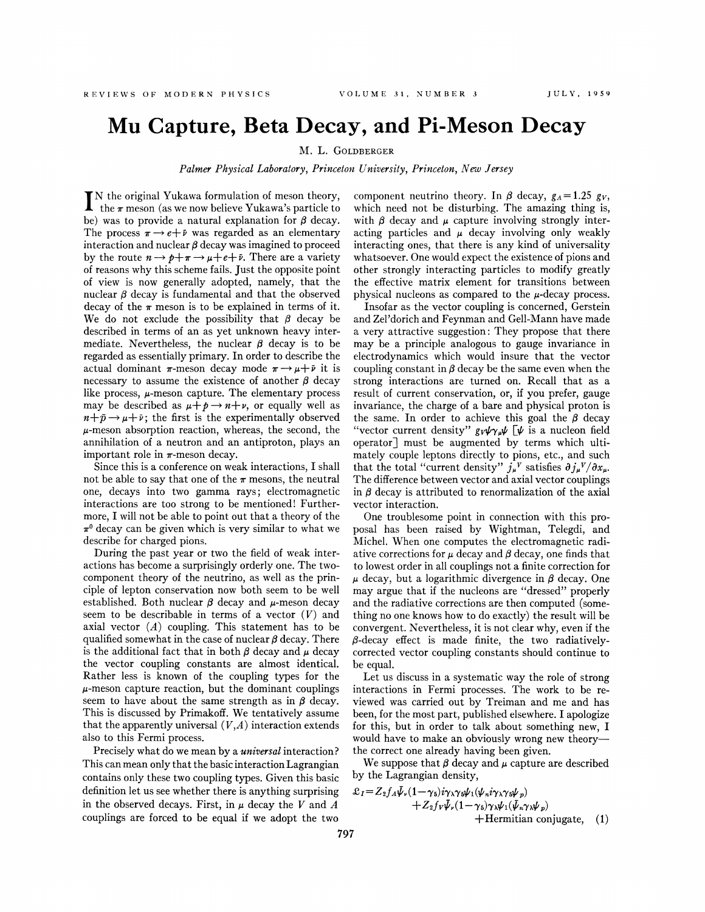## **Mu Capture, Beta Decay, and Pi-Meson Decay**

M. L. GOLDBERGER

*Palmer Physical Laboratory, Princeton University, Princeton, New Jersey* 

I N the original Yukawa formulation of meson theory, the  $\pi$  meson (as we now believe Yukawa's particle to be) was to provide a natural explanation for  $\beta$  decay. The process  $\pi \rightarrow e + \bar{\nu}$  was regarded as an elementary interaction and nuclear  $\beta$  decay was imagined to proceed by the route  $n \rightarrow p+\pi \rightarrow \mu+e+\bar{\nu}$ . There are a variety of reasons why this scheme fails. Just the opposite point of view is now generally adopted, namely, that the nuclear  $\beta$  decay is fundamental and that the observed decay of the  $\pi$  meson is to be explained in terms of it. We do not exclude the possibility that  $\beta$  decay be described in terms of an as yet unknown heavy intermediate. Nevertheless, the nuclear  $\beta$  decay is to be regarded as essentially primary. In order to describe the actual dominant  $\pi$ -meson decay mode  $\pi \rightarrow \mu + \bar{\nu}$  it is necessary to assume the existence of another  $\beta$  decay like process,  $\mu$ -meson capture. The elementary process may be described as  $\mu + p \rightarrow n + \nu$ , or equally well as  $n+p \rightarrow \mu +\bar{\nu}$ ; the first is the experimentally observed  $\mu$ -meson absorption reaction, whereas, the second, the annihilation of a neutron and an antiproton, plays an important role in  $\pi$ -meson decay.

Since this is a conference on weak interactions, I shall not be able to say that one of the  $\pi$  mesons, the neutral one, decays into two gamma rays; electromagnetic interactions are too strong to be mentioned! Furthermore, I will not be able to point out that a theory of the  $\pi^0$  decay can be given which is very similar to what we describe for charged pions.

During the past year or two the field of weak interactions has become a surprisingly orderly one. The twocomponent theory of the neutrino, as well as the principle of lepton conservation now both seem to be well established. Both nuclear  $\beta$  decay and  $\mu$ -meson decay seem to be describable in terms of a vector  $(V)$  and axial vector  $(A)$  coupling. This statement has to be qualified somewhat in the case of nuclear  $\beta$  decay. There is the additional fact that in both  $\beta$  decay and  $\mu$  decay the vector coupling constants are almost identical. Rather less is known of the coupling types for the  $\mu$ -meson capture reaction, but the dominant couplings seem to have about the same strength as in  $\beta$  decay. This is discussed by Primakoff. We tentatively assume that the apparently universal  $(V,A)$  interaction extends also to this Fermi process.

Precisely what do we mean by a *universal* interaction? This can mean only that the basic interaction Lagrangian contains only these two coupling types. Given this basic definition let us see whether there is anything surprising in the observed decays. First, in  $\mu$  decay the V and A couplings are forced to be equal if we adopt the two

component neutrino theory. In  $\beta$  decay,  $g_A = 1.25$  gv, which need not be disturbing. The amazing thing is, with  $\beta$  decay and  $\mu$  capture involving strongly interacting particles and  $\mu$  decay involving only weakly interacting ones, that there is any kind of universality whatsoever. One would expect the existence of pions and other strongly interacting particles to modify greatly the effective matrix element for transitions between physical nucleons as compared to the  $\mu$ -decay process.

Insofar as the vector coupling is concerned, Gerstein and Zel'dorich and Feynman and Gell-Mann have made a very attractive suggestion: They propose that there may be a principle analogous to gauge invariance in electrodynamics which would insure that the vector coupling constant in  $\beta$  decay be the same even when the strong interactions are turned on. Recall that as a result of current conservation, or, if you prefer, gauge invariance, the charge of a bare and physical proton is the same. In order to achieve this goal the  $\beta$  decay "vector current density"  $g_V \psi_{\gamma} \psi$  [ $\psi$  is a nucleon field operator] must be augmented by terms which ultimately couple leptons directly to pions, etc., and such that the total "current density"  $j_{\mu}^{\ \nu}$  satisfies  $\partial j_{\mu}^{\ \nu}/\partial x_{\mu}$ . The difference between vector and axial vector couplings in  $\beta$  decay is attributed to renormalization of the axial vector interaction.

One troublesome point in connection with this proposal has been raised by Wightman, Telegdi, and Michel. When one computes the electromagnetic radiative corrections for  $\mu$  decay and  $\beta$  decay, one finds that to lowest order in all couplings not a finite correction for  $\mu$  decay, but a logarithmic divergence in  $\beta$  decay. One may argue that if the nucleons are "dressed" properly and the radiative corrections are then computed (something no one knows how to do exactly) the result will be convergent. Nevertheless, it is not clear why, even if the  $\beta$ -decay effect is made finite, the two radiativelycorrected vector coupling constants should continue to be equal.

Let us discuss in a systematic way the role of strong interactions in Fermi processes. The work to be reviewed was carried out by Treiman and me and has been, for the most part, published elsewhere. I apologize for this, but in order to talk about something new, I would have to make an obviously wrong new theorythe correct one already having been given.

We suppose that  $\beta$  decay and  $\mu$  capture are described by the Lagrangian density,

$$
\mathcal{L}_I = Z_2 f_A \bar{\psi}_r (1 - \gamma_5) i \gamma_1 \gamma_5 \psi_1 (\psi_n i \gamma_1 \gamma_5 \psi_p) \n+ Z_2 f_V \bar{\psi}_r (1 - \gamma_5) \gamma_1 \psi_1 (\bar{\psi}_n \gamma_1 \psi_p) \n+ Hermitian conjugate, (1)
$$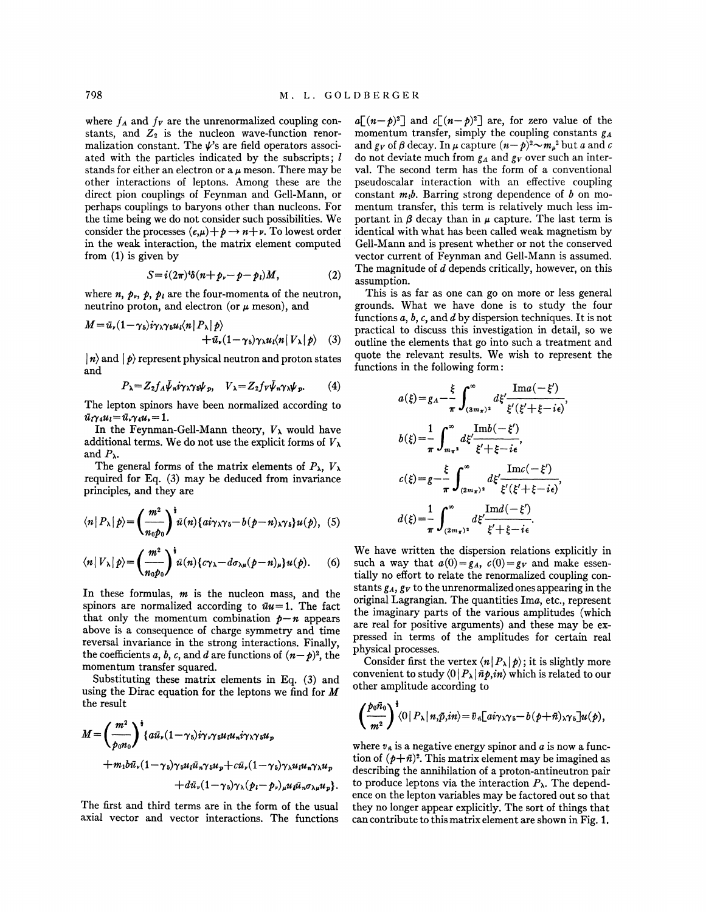where  $f_A$  and  $f_V$  are the unrenormalized coupling constants, and  $Z_2$  is the nucleon wave-function renormalization constant. The  $\psi$ 's are field operators associated with the particles indicated by the subscripts;  $l$ stands for either an electron or a  $\mu$  meson. There may be other interactions of leptons. Among these are the direct pion couplings of Feynman and Gell-Mann, or perhaps couplings to baryons other than nucleons. For the time being we do not consider such possibilities. We consider the processes  $(e,\mu)+p\rightarrow n+\nu$ . To lowest order in the weak interaction, the matrix element computed from (1) is given by

$$
S = i(2\pi)^4 \delta (n + p_r - p - p_l) M, \qquad (2)
$$

where *n*,  $p_r$ ,  $p_l$ , are the four-momenta of the neutron, neutrino proton, and electron (or  $\mu$  meson), and

$$
M = \bar{u}_{\nu} (1 - \gamma_5) i \gamma_{\lambda} \gamma_5 u_l \langle n | P_{\lambda} | p \rangle + \bar{u}_{\nu} (1 - \gamma_5) \gamma_{\lambda} u_l \langle n | V_{\lambda} | p \rangle
$$
 (3)

 $\ket{n}$  and  $\ket{p}$  represent physical neutron and proton states and

$$
P_{\lambda} = Z_2 f_A \bar{\psi}_n i \gamma_{\lambda} \gamma_5 \psi_p, \quad V_{\lambda} = Z_2 f_V \bar{\psi}_n \gamma_{\lambda} \psi_p. \tag{4}
$$

The lepton spinors have been normalized according to  $\bar{u}_1 \gamma_4 u_1 = \bar{u}_1 \gamma_4 u_1 = 1.$ 

In the Feynman-Gell-Mann theory,  $V_{\lambda}$  would have additional terms. We do not use the explicit forms of  $V_{\lambda}$ and  $P_{\lambda}$ .

The general forms of the matrix elements of  $P_{\lambda}$ ,  $V_{\lambda}$ required for Eq. (3) may be deduced from invariance principles; and they are

$$
\langle n | P_{\lambda} | p \rangle = \left( \frac{m^2}{n_0 p_0} \right)^{\frac{1}{2}} \bar{u}(n) \{ a i \gamma_{\lambda} \gamma_5 - b (p - n)_{\lambda} \gamma_5 \} u(p), \quad (5)
$$

$$
\langle n|V_{\lambda}|p\rangle = \left(\frac{m^2}{n_0p_0}\right)^{\frac{1}{2}}\bar{u}(n)\left\{c\gamma_{\lambda} - d\sigma_{\lambda\mu}(p-n)_{\mu}\right\}u(p). \tag{6}
$$

In these formulas, *m* is the nucleon mass, and the spinors are normalized according to  $\bar{u}u=1$ . The fact that only the momentum combination  $p - n$  appears above is a consequence of charge symmetry and time reversal invariance in the strong interactions. Finally, the coefficients *a*, *b*, *c*, and *d* are functions of  $(n-p)^2$ , the momentum transfer squared.

Substituting these matrix elements in Eq. (3) and using the Dirac equation for the leptons we find for *M*  the result

$$
M = \left(\frac{m^2}{p_0 n_0}\right)^{\frac{1}{2}} \left\{ a\bar{u}_r (1-\gamma_5) i\gamma_r \gamma_5 u_l u_n i\gamma_\lambda \gamma_5 u_p + m_1 b\bar{u}_r (1-\gamma_5) \gamma_5 u_l \bar{u}_n \gamma_5 u_p + c\bar{u}_r (1-\gamma_5) \gamma_\lambda u_l u_n \gamma_\lambda u_p + d\bar{u}_r (1-\gamma_5) \gamma_\lambda (p_l - p_r)_{\mu} u_l \bar{u}_n \sigma_{\lambda \mu} u_p \right\}.
$$

The first and third terms are in the form of the usual axial vector and vector interactions. The functions  $a[(n-p)^2]$  and  $c[(n-p)^2]$  are, for zero value of the momentum transfer, simply the coupling constants  $g_A$ and  $g_V$  of  $\beta$  decay. In  $\mu$  capture  $(n-\rho)^2 \sim m_\mu{}^2$  but *a* and *c* do not deviate much from  $g_A$  and  $g_V$  over such an interval. The second term has the form of a conventional pseudoscalar interaction with an effective coupling constant *m1b.* Barring strong dependence of *b* on momentum transfer, this term is relatively much less important in  $\beta$  decay than in  $\mu$  capture. The last term is identical with what has been called weak magnetism by Gell-Mann and is present whether or not the conserved vector current of Feynman and Gell-Mann is assumed. The magnitude of d depends critically, however, on this assumption.

This is as far as one can go on more or less general grounds. What we have done is to study the four functions *a,* b, *c,* and d by dispersion techniques. It is not practical to discuss this investigation in detail, so we outline the elements that go into such a treatment and quote the relevant results. We wish to represent the functions in the following form :

$$
a(\xi) = g_A - \frac{\xi}{\pi} \int_{(3m_{\pi})^2}^{\infty} d\xi' \frac{\text{Im}a(-\xi')}{\xi'(\xi' + \xi - i\epsilon)},
$$
  
\n
$$
b(\xi) = \frac{1}{\pi} \int_{m_{\pi}^2}^{\infty} d\xi' \frac{\text{Im}b(-\xi')}{\xi' + \xi - i\epsilon},
$$
  
\n
$$
c(\xi) = g - \frac{\xi}{\pi} \int_{(2m_{\pi})^2}^{\infty} d\xi' \frac{\text{Im}c(-\xi')}{\xi'(\xi' + \xi - i\epsilon)},
$$
  
\n
$$
d(\xi) = \frac{1}{\pi} \int_{(2m_{\pi})^2}^{\infty} d\xi' \frac{\text{Im}d(-\xi')}{\xi' + \xi - i\epsilon}.
$$

We have written the dispersion relations explicitly in such a way that  $a(0) = g_A$ ,  $c(0) = g_V$  and make essentially no effort to relate the renormalized coupling constants  $g_A$ ,  $g_V$  to the unrenormalized ones appearing in the original Lagrangian. The quantities Ima, etc., represent the imaginary parts of the various amplitudes (which are real for positive arguments) and these may be expressed in terms of the amplitudes for certain real physical processes.

Consider first the vertex  $\langle n | P_{\lambda} | p \rangle$ ; it is slightly more convenient to study  $\langle 0 | P_{\lambda} | \bar{n} p, in \rangle$  which is related to our other amplitude according to

$$
\left(\frac{p_0\bar{n}_0}{m^2}\right)^{\frac{1}{2}}\!\!\langle 0|P_\lambda|\,n,\bar{p},in\rangle\!=\bar{v}_n\left[a\bar{i}\gamma_\lambda\gamma_5-b\,(p+\bar{n})_\lambda\gamma_5\right]\!u(p),
$$

where  $v_{\overline{n}}$  is a negative energy spinor and  $\overline{a}$  is now a function of  $(p+\bar{n})^2$ . This matrix element may be imagined as describing the annihilation of a proton-antineutron pair to produce leptons via the interaction  $P_{\lambda}$ . The dependence on the lepton variables may be factored out so that they no longer appear explicitly. The sort of things that can contribute to this matrix element are shown in Fig. 1.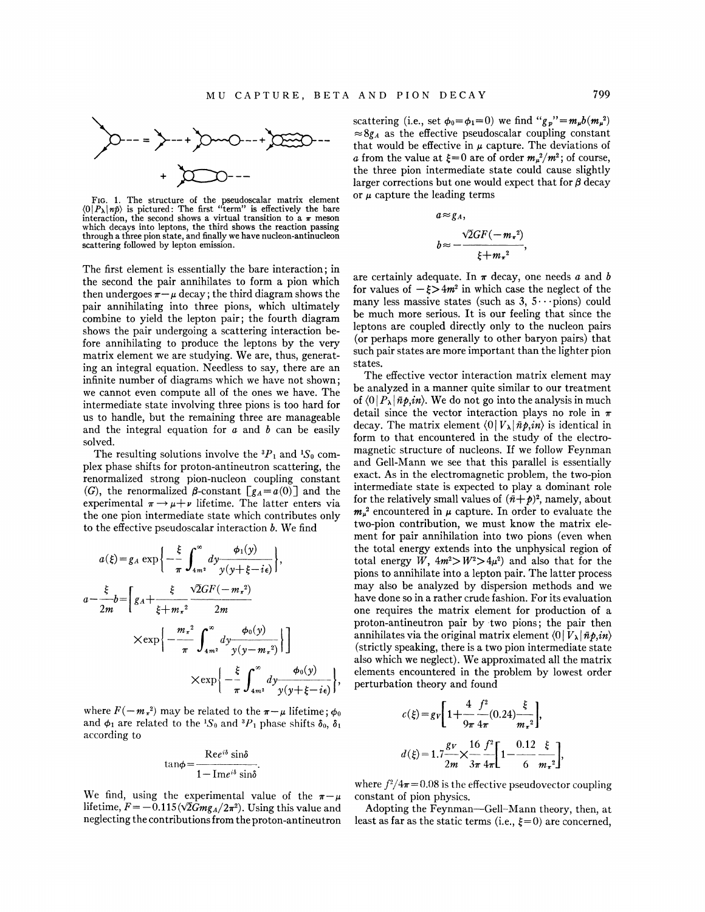

FIG. 1. The structure of the pseudoscalar matrix element  $\langle 0 | P_{\lambda} | n \bar{p} \rangle$  is pictured: The first "term" is effectively the bare interaction, the second shows a virtual transition to a  $\pi$  meson which decays into leptons, the third shows the reaction passing through a three pion state, and finally we have nucleon-antinucleon scattering followed by lepton emission.

The first element is essentially the bare interaction; in the second the pair annihilates to form a pion which then undergoes  $\pi - \mu$  decay; the third diagram shows the pair annihilating into three pions, which ultimately combine to yield the lepton pair; the fourth diagram shows the pair undergoing a scattering interaction before annihilating to produce the leptons by the very matrix element we are studying. We are, thus, generating an integral equation. Needless to say, there are an infinite number of diagrams which we have not shown; we cannot even compute all of the ones we have. The intermediate state involving three pions is too hard for us to handle, but the remaining three are manageable and the integral equation for  $a$  and  $b$  can be easily solved.

The resulting solutions involve the  ${}^{3}P_{1}$  and  ${}^{1}S_{0}$  complex phase shifts for proton-antineutron scattering, the renormalized strong pion-nucleon coupling constant (G), the renormalized  $\beta$ -constant  $[g_A=a(0)]$  and the experimental  $\pi \rightarrow \mu + \nu$  lifetime. The latter enters via the one pion intermediate state which contributes only to the effective pseudoscalar interaction  $b$ . We find

$$
a(\xi) = g_A \exp\left\{-\frac{\xi}{\pi} \int_{4m^2}^{\infty} dy \frac{\phi_1(y)}{y(y + \xi - i\epsilon)}\right\},\newline a - \frac{\xi}{2m} b = \left[g_A + \frac{\xi}{\xi + m_{\pi}^2} \frac{\sqrt{2}GF(-m_{\pi}^2)}{2m}\right] \times \exp\left\{-\frac{m_{\pi}^2}{\pi} \int_{4m^2}^{\infty} dy \frac{\phi_0(y)}{y(y - m_{\pi}^2)}\right\}\right] \times \exp\left\{-\frac{\xi}{\pi} \int_{4m^2}^{\infty} dy \frac{\phi_0(y)}{y(y + \xi - i\epsilon)}\right\},\newline
$$

where  $F(-m<sub>\pi</sub><sup>2</sup>)$  may be related to the  $\pi-\mu$  lifetime;  $\phi_0$ and  $\phi_1$  are related to the <sup>1</sup>S<sub>0</sub> and <sup>3</sup>P<sub>1</sub> phase shifts  $\delta_0$ ,  $\delta_1$ according to

$$
an\phi = \frac{\text{Re}e^{i\delta}\sin\delta}{1-\text{Im}e^{i\delta}\sin\delta}.
$$

We find, using the experimental value of the  $\pi-\mu$ lifetime,  $F = -0.115 \left( \sqrt{2} G m g_A / 2\pi^2 \right)$ . Using this value and neglecting the contributions from theproton-antineutron scattering (i.e., set  $\phi_0 = \phi_1 = 0$ ) we find  $\lq g_p \lq m_\mu b(m_\mu^2)$  $\approx 8g_A$  as the effective pseudoscalar coupling constant that would be effective in  $\mu$  capture. The deviations of *a* from the value at  $\xi = 0$  are of order  $m_{\mu}^2/m^2$ ; of course, the three pion intermediate state could cause slightly larger corrections but one would expect that for  $\beta$  decay or *µ* capture the leading terms

$$
a \approx g_A,
$$
  
\n
$$
b \approx -\frac{\sqrt{2}GF(-m_{\pi}^2)}{\xi + m_{\pi}^2},
$$

are certainly adequate. In  $\pi$  decay, one needs a and b for values of  $-\xi > 4m^2$  in which case the neglect of the many less massive states (such as  $3, 5 \cdots$  pions) could be much more serious. It is our feeling that since the leptons are coupled directly only to the nucleon pairs (or perhaps more generally to other baryon pairs) that such pair states are more important than the lighter pion states.

The effective vector interaction matrix element may be analyzed in a manner quite similar to our treatment of  $\langle 0 | P_{\lambda} | \bar{n} p, in \rangle$ . We do not go into the analysis in much detail since the vector interaction plays no role in  $\pi$ decay. The matrix element  $\langle 0 | V_{\lambda} | \bar{n} p, in \rangle$  is identical in form to that encountered in the study of the electromagnetic structure of nucleons. If we follow Feynman and Gell-Mann we see that this parallel is essentially exact. As in the electromagnetic problem, the two-pion intermediate state is expected to play a dominant role for the relatively small values of  $(\bar{n}+p)^2$ , namely, about  $m<sub>\mu</sub><sup>2</sup>$  encountered in  $\mu$  capture. In order to evaluate the two-pion contribution, we must know the matrix element for pair annihilation into two pions (even when the total energy extends into the unphysical region of total energy *W*,  $4m^2 > W^2 > 4\mu^2$  and also that for the pions to annihilate into a lepton pair. The latter process may also be analyzed by dispersion methods and we have done so in a rather crude fashion. For its evaluation one requires the matrix element for production of a proton-antineutron pair by -two pions; the pair then annihilates via the original matrix element  $\langle 0 | V_{\lambda} | \bar{n} \rho, in \rangle$ (strictly speaking, there is a two pion intermediate state also which we neglect). We approximated all the matrix elements encountered in the problem by lowest order perturbation theory and found

$$
c(\xi) = g_V \left[ 1 + \frac{4}{9\pi} \frac{f^2}{4\pi} (0.24) \frac{\xi}{m_r^2} \right],
$$
  

$$
d(\xi) = 1.7 \frac{g_V}{2m} \times \frac{16}{3\pi} \frac{f^2}{4\pi} \left[ 1 - \frac{0.12}{6} \frac{\xi}{m_r^2} \right],
$$

where  $f^2/4\pi = 0.08$  is the effective pseudovector coupling constant of pion physics.

Adopting the Feynman-Gell-Mann theory, then, at least as far as the static terms (i.e.,  $\xi=0$ ) are concerned,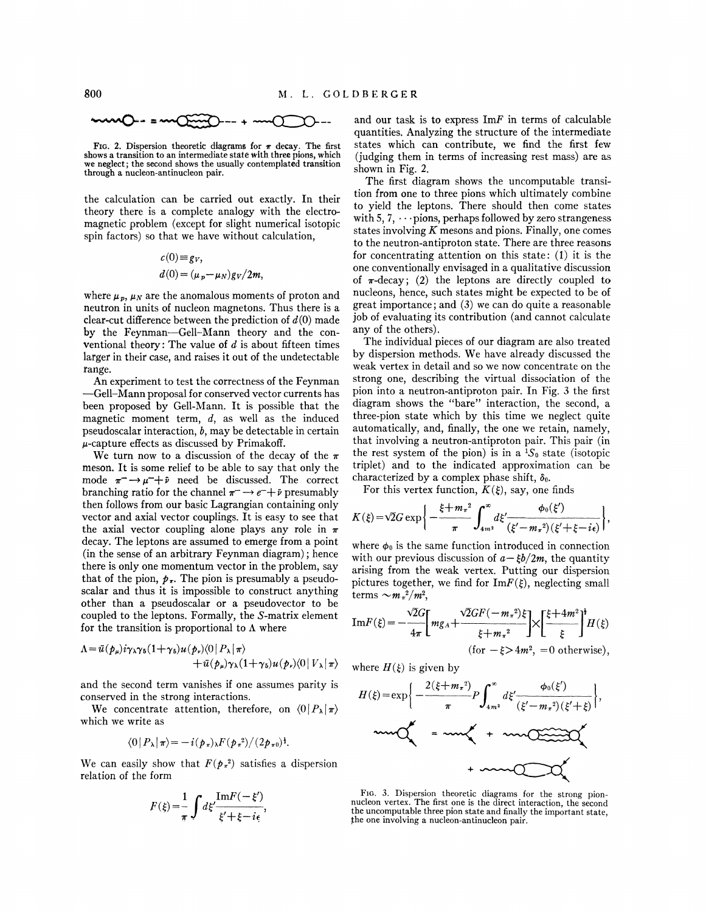$$
mmO-=mO(\frac{1}{2}mO-)+mO(\frac{1}{2}mO-1)
$$

FIG. 2. Dispersion theoretic diagrams for  $\pi$  decay. The first shows a transition to an intermediate state with three pions, which we neglect; the second shows the usually contemplated transition through a nucleon-antinucleon pair.

the calculation can be carried out exactly. In their theory there is a complete analogy with the electromagnetic problem (except for slight numerical isotopic spin factors) so that we have without calculation,

$$
c(0) \equiv g_V,
$$
  
\n
$$
d(0) = (\mu_p - \mu_N) g_V / 2m,
$$

where  $\mu_p$ ,  $\mu_N$  are the anomalous moments of proton and neutron in units of nucleon magnetons. Thus there is a clear-cut difference between the prediction of  $d(0)$  made by the Feynman-Gell-Mann theory and the conventional theory: The value of *d* is about fifteen times larger in their case, and raises it out of the undetectable range.

An experiment to test the correctness of the Feynman -Gell-Mann proposal for conserved vector currents has been proposed by Gell-Mann. It is possible that the magnetic moment term,  $d$ , as well as the induced pseudoscalar interaction, *b,* may be detectable in certain  $\mu$ -capture effects as discussed by Primakoff.

We turn now to a discussion of the decay of the  $\pi$ meson. It is some relief to be able to say that only the mode  $\pi^- \rightarrow \mu^- + i$  need be discussed. The correct branching ratio for the channel  $\pi^- \rightarrow e^- + i$  presumably then follows from our basic Lagrangian containing only vector and axial vector couplings. It is easy to see that the axial vector coupling alone plays any role in  $\pi$ decay. The leptons are assumed to emerge from a point (in the sense of an arbitrary Feynman diagram); hence there is only one momentum vector in the problem, say that of the pion,  $p_{\pi}$ . The pion is presumably a pseudoscalar and thus it is impossible to construct anything other than a pseudoscalar or a pseudovector to be coupled to the leptons. Formally, the S-matrix element for the transition is proportional to  $\Lambda$  where

$$
\Lambda = \bar{u}(p_{\mu})i\gamma_{\lambda}\gamma_{5}(1+\gamma_{5})u(p_{\nu})(0|P_{\lambda}|\pi) +\bar{u}(p_{\mu})\gamma_{\lambda}(1+\gamma_{5})u(p_{\nu})(0|V_{\lambda}|\pi)
$$

and the second term vanishes if one assumes parity is conserved in the strong interactions.

We concentrate attention, therefore, on  $\langle 0 | P_{\lambda} | \pi \rangle$ which we write as

$$
\langle 0|P_{\lambda}|\pi\rangle = -i(\mathbf{p}_{\pi})\mathbf{E}(\mathbf{p}_{\pi}^{2})/(2\mathbf{p}_{\pi 0})^{\frac{1}{2}}.
$$

We can easily show that  $F(p_*^2)$  satisfies a dispersion relation of the form

$$
F(\xi) = \frac{1}{\pi} \int d\xi' \frac{\text{Im} F(-\xi')}{\xi' + \xi - i\epsilon},
$$

and our task is to express  $\text{Im}F$  in terms of calculable quantities. Analyzing the structure of the intermediate states which can contribute, we find the first few (judging them in terms of increasing rest mass) are as shown in Fig. 2.

The first diagram shows the uncomputable transition from one to three pions which ultimately combine to yield the leptons. There should then come states with 5, 7,  $\cdots$  pions, perhaps followed by zero strangeness states involving *K* mesons and pions. Finally, one comes to the neutron-antiproton state. There are three reasons for concentrating attention on this state: (1) it is the one conventionally envisaged in a qualitative discussion of  $\pi$ -decay; (2) the leptons are directly coupled to nucleons, hence, such states might be expected to be of great importance; and (3) we can do quite a reasonable job of evaluating its contribution (and cannot calculate any of the others).

The individual pieces of our diagram are also treated by dispersion methods. We have already discussed the weak vertex in detail and so we now concentrate on the strong one, describing the virtual dissociation of the pion into a neutron-antiproton pair. In Fig. 3 the first diagram shows the "bare" interaction, the second, a three-pion state which by this time we neglect quite automatically, and, finally, the one we retain, namely, that involving a neutron-antiproton pair. This pair (in the rest system of the pion) is in a  ${}^{1}S_{0}$  state (isotopic triplet) and to the indicated approximation can be characterized by a complex phase shift,  $\delta_0$ .

For this vertex function,  $K(\xi)$ , say, one finds

$$
K(\xi) = \sqrt{2}G \exp\left\{-\frac{\xi + m\pi^2}{\pi} \int_{4m^2}^{\infty} d\xi' \frac{\phi_0(\xi')}{(\xi' - m\pi^2)(\xi' + \xi - i\epsilon)}\right\},\,
$$

where  $\phi_0$  is the same function introduced in connection with our previous discussion of  $a - \xi b/2m$ , the quantity arising from the weak vertex. Putting our dispersion pictures together, we find for  $\text{Im}F(\xi)$ , neglecting small terms  $\sim m_{\pi}^2/m^2$ ,

terms 
$$
\sim m_x^2/m^2
$$
,  
\n
$$
\text{Im}F(\xi) = -\frac{\sqrt{2}G}{4\pi} \bigg[ mg_A + \frac{\sqrt{2}GF(-m_x^2)\xi}{\xi + m_x^2} \bigg] \times \bigg[ \frac{\xi + 4m^2}{\xi} \bigg]^{\frac{1}{2}} H(\xi)
$$
\n(for  $-\xi > 4m^2$ , = 0 otherwise),

where  $H(\xi)$  is given by

$$
H(\xi) = \exp\left\{-\frac{2(\xi + m_{\pi}^{2})}{\pi} P \int_{4m^{2}}^{\infty} d\xi' \frac{\phi_{0}(\xi')}{(\xi' - m_{\pi}^{2})(\xi' + \xi)}\right\},\
$$
  
\n
$$
\exp\left\{-\frac{2(\xi + m_{\pi}^{2})}{\pi} P \int_{4m^{2}}^{\infty} d\xi' \frac{\phi_{0}(\xi')}{(\xi' - m_{\pi}^{2})(\xi' + \xi)}\right\},\
$$

FIG. 3. Dispersion theoretic diagrams for the strong pionnucleon vertex. The first one is the direct interaction, the second the uncomputable three pion state and finally the important state the one involving a nucleon-antinucleon pair.